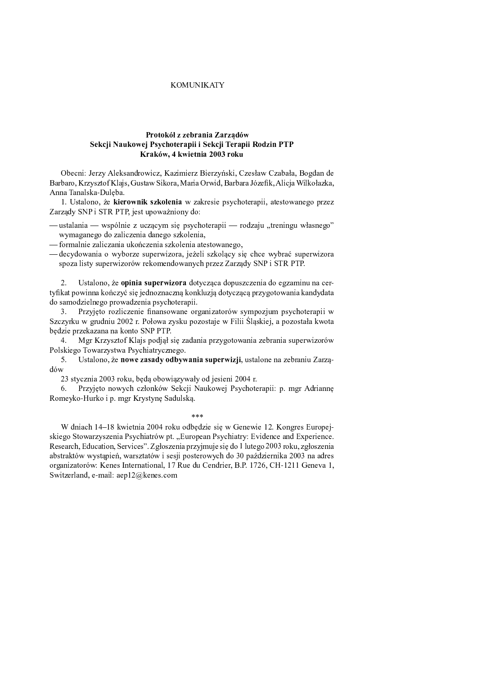## **KOMUNIKATY**

# Protokół z zebrania Zarzadów Sekcji Naukowej Psychoterapii i Sekcji Terapii Rodzin PTP Kraków, 4 kwietnia 2003 roku

Obecni: Jerzy Aleksandrowicz, Kazimierz Bierzyński, Czesław Czabała, Bogdan de Barbaro, Krzysztof Klajs, Gustaw Sikora, Maria Orwid, Barbara Józefik, Alicja Wilkołazka, Anna Tanalska-Duleba.

1. Ustalono, że kierownik szkolenia w zakresie psychoterapii, atestowanego przez Zarządy SNP i STR PTP, jest upoważniony do:

-ustalania — wspólnie z uczącym się psychoterapii — rodzaju "treningu własnego" wymaganego do zaliczenia danego szkolenia,

- formalnie zaliczania ukończenia szkolenia atestowanego,

- decydowania o wyborze superwizora, jeżeli szkolący się chce wybrać superwizora spoza listy superwizorów rekomendowanych przez Zarządy SNP i STR PTP.

Ustalono, że opinia superwizora dotycząca dopuszczenia do egzaminu na certyfikat powinna kończyć się jednoznaczną konkluzją dotyczącą przygotowania kandydata do samodzielnego prowadzenia psychoterapii.

3. Przyjęto rozliczenie finansowane organizatorów sympozjum psychoterapii w Szczyrku w grudniu 2002 r. Połowa zysku pozostaje w Filii Ślaskiej, a pozostała kwota będzie przekazana na konto SNP PTP.

Mgr Krzysztof Klajs podjął się zadania przygotowania zebrania superwizorów 4. Polskiego Towarzystwa Psychiatrycznego.

Ustalono, że nowe zasady odbywania superwizji, ustalone na zebraniu Zarzą- $5.$ dów

23 stycznia 2003 roku, będą obowiązywały od jesieni 2004 r.

Przyjęto nowych członków Sekcji Naukowej Psychoterapii: p. mgr Adriannę 6. Romeyko-Hurko i p. mgr Krystynę Sadulską.

 $***$ 

W dniach 14–18 kwietnia 2004 roku odbędzie się w Genewie 12. Kongres Europejskiego Stowarzyszenia Psychiatrów pt. "European Psychiatry: Evidence and Experience. Research, Education, Services". Zgłoszenia przyjmuje się do 1 lutego 2003 roku, zgłoszenia abstraktów wystąpień, warsztatów i sesji posterowych do 30 października 2003 na adres organizatorów: Kenes International, 17 Rue du Cendrier, B.P. 1726, CH-1211 Geneva 1, Switzerland, e-mail: aep12@kenes.com